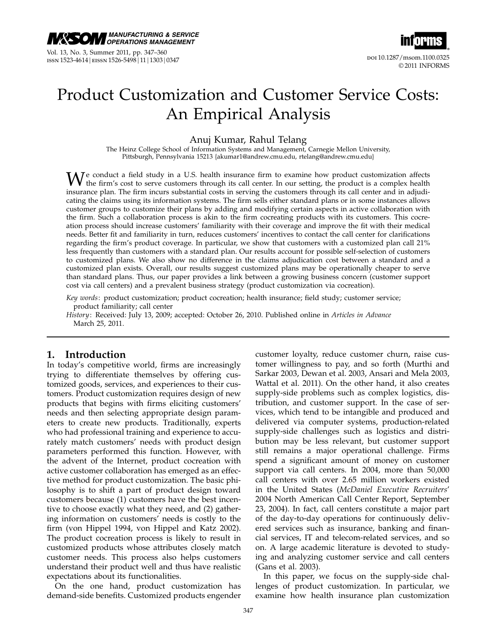

Vol. 13, No. 3, Summer 2011, pp. 347–360 issn1523-4614 eissn1526-5498 <sup>11</sup> <sup>1303</sup> <sup>0347</sup> doi 10.1287/msom.1100.0325



# Product Customization and Customer Service Costs: An Empirical Analysis

# Anuj Kumar, Rahul Telang

The Heinz College School of Information Systems and Management, Carnegie Mellon University, Pittsburgh, Pennsylvania 15213 {akumar1@andrew.cmu.edu, rtelang@andrew.cmu.edu}

 $W$ <sup>e</sup> conduct a field study in a U.S. health insurance firm to examine how product customization affects the firm's cost to serve customers through its call center. In our setting, the product is a complex health insurance plan. The firm incurs substantial costs in serving the customers through its call center and in adjudicating the claims using its information systems. The firm sells either standard plans or in some instances allows customer groups to customize their plans by adding and modifying certain aspects in active collaboration with the firm. Such a collaboration process is akin to the firm cocreating products with its customers. This cocreation process should increase customers' familiarity with their coverage and improve the fit with their medical needs. Better fit and familiarity in turn, reduces customers' incentives to contact the call center for clarifications regarding the firm's product coverage. In particular, we show that customers with a customized plan call 21% less frequently than customers with a standard plan. Our results account for possible self-selection of customers to customized plans. We also show no difference in the claims adjudication cost between a standard and a customized plan exists. Overall, our results suggest customized plans may be operationally cheaper to serve than standard plans. Thus, our paper provides a link between a growing business concern (customer support cost via call centers) and a prevalent business strategy (product customization via cocreation).

Key words: product customization; product cocreation; health insurance; field study; customer service; product familiarity; call center

History: Received: July 13, 2009; accepted: October 26, 2010. Published online in Articles in Advance March 25, 2011.

# 1. Introduction

In today's competitive world, firms are increasingly trying to differentiate themselves by offering customized goods, services, and experiences to their customers. Product customization requires design of new products that begins with firms eliciting customers' needs and then selecting appropriate design parameters to create new products. Traditionally, experts who had professional training and experience to accurately match customers' needs with product design parameters performed this function. However, with the advent of the Internet, product cocreation with active customer collaboration has emerged as an effective method for product customization. The basic philosophy is to shift a part of product design toward customers because (1) customers have the best incentive to choose exactly what they need, and (2) gathering information on customers' needs is costly to the firm (von Hippel 1994, von Hippel and Katz 2002). The product cocreation process is likely to result in customized products whose attributes closely match customer needs. This process also helps customers understand their product well and thus have realistic expectations about its functionalities.

On the one hand, product customization has demand-side benefits. Customized products engender customer loyalty, reduce customer churn, raise customer willingness to pay, and so forth (Murthi and Sarkar 2003, Dewan et al. 2003, Ansari and Mela 2003, Wattal et al. 2011). On the other hand, it also creates supply-side problems such as complex logistics, distribution, and customer support. In the case of services, which tend to be intangible and produced and delivered via computer systems, production-related supply-side challenges such as logistics and distribution may be less relevant, but customer support still remains a major operational challenge. Firms spend a significant amount of money on customer support via call centers. In 2004, more than 50,000 call centers with over 2.65 million workers existed in the United States (McDaniel Executive Recruiters' 2004 North American Call Center Report, September 23, 2004). In fact, call centers constitute a major part of the day-to-day operations for continuously delivered services such as insurance, banking and financial services, IT and telecom-related services, and so on. A large academic literature is devoted to studying and analyzing customer service and call centers (Gans et al. 2003).

In this paper, we focus on the supply-side challenges of product customization. In particular, we examine how health insurance plan customization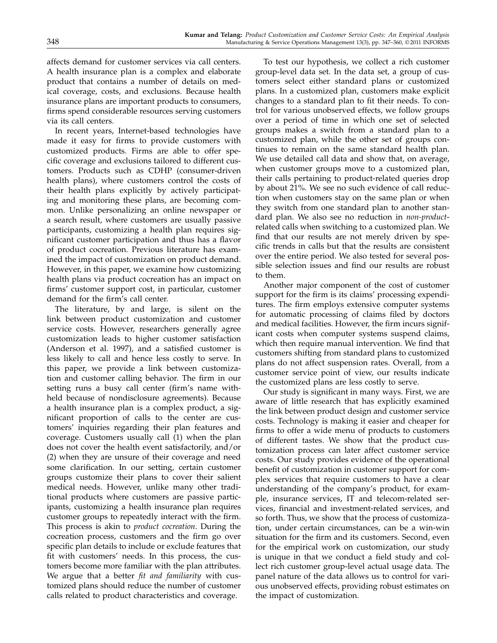affects demand for customer services via call centers. A health insurance plan is a complex and elaborate product that contains a number of details on medical coverage, costs, and exclusions. Because health insurance plans are important products to consumers, firms spend considerable resources serving customers via its call centers.

In recent years, Internet-based technologies have made it easy for firms to provide customers with customized products. Firms are able to offer specific coverage and exclusions tailored to different customers. Products such as CDHP (consumer-driven health plans), where customers control the costs of their health plans explicitly by actively participating and monitoring these plans, are becoming common. Unlike personalizing an online newspaper or a search result, where customers are usually passive participants, customizing a health plan requires significant customer participation and thus has a flavor of product cocreation. Previous literature has examined the impact of customization on product demand. However, in this paper, we examine how customizing health plans via product cocreation has an impact on firms' customer support cost, in particular, customer demand for the firm's call center.

The literature, by and large, is silent on the link between product customization and customer service costs. However, researchers generally agree customization leads to higher customer satisfaction (Anderson et al. 1997), and a satisfied customer is less likely to call and hence less costly to serve. In this paper, we provide a link between customization and customer calling behavior. The firm in our setting runs a busy call center (firm's name withheld because of nondisclosure agreements). Because a health insurance plan is a complex product, a significant proportion of calls to the center are customers' inquiries regarding their plan features and coverage. Customers usually call (1) when the plan does not cover the health event satisfactorily, and/or (2) when they are unsure of their coverage and need some clarification. In our setting, certain customer groups customize their plans to cover their salient medical needs. However, unlike many other traditional products where customers are passive participants, customizing a health insurance plan requires customer groups to repeatedly interact with the firm. This process is akin to product cocreation. During the cocreation process, customers and the firm go over specific plan details to include or exclude features that fit with customers' needs. In this process, the customers become more familiar with the plan attributes. We argue that a better fit and familiarity with customized plans should reduce the number of customer calls related to product characteristics and coverage.

To test our hypothesis, we collect a rich customer group-level data set. In the data set, a group of customers select either standard plans or customized plans. In a customized plan, customers make explicit changes to a standard plan to fit their needs. To control for various unobserved effects, we follow groups over a period of time in which one set of selected groups makes a switch from a standard plan to a customized plan, while the other set of groups continues to remain on the same standard health plan. We use detailed call data and show that, on average, when customer groups move to a customized plan, their calls pertaining to product-related queries drop by about 21%. We see no such evidence of call reduction when customers stay on the same plan or when they switch from one standard plan to another standard plan. We also see no reduction in non-productrelated calls when switching to a customized plan. We find that our results are not merely driven by specific trends in calls but that the results are consistent over the entire period. We also tested for several possible selection issues and find our results are robust to them.

Another major component of the cost of customer support for the firm is its claims' processing expenditures. The firm employs extensive computer systems for automatic processing of claims filed by doctors and medical facilities. However, the firm incurs significant costs when computer systems suspend claims, which then require manual intervention. We find that customers shifting from standard plans to customized plans do not affect suspension rates. Overall, from a customer service point of view, our results indicate the customized plans are less costly to serve.

Our study is significant in many ways. First, we are aware of little research that has explicitly examined the link between product design and customer service costs. Technology is making it easier and cheaper for firms to offer a wide menu of products to customers of different tastes. We show that the product customization process can later affect customer service costs. Our study provides evidence of the operational benefit of customization in customer support for complex services that require customers to have a clear understanding of the company's product, for example, insurance services, IT and telecom-related services, financial and investment-related services, and so forth. Thus, we show that the process of customization, under certain circumstances, can be a win-win situation for the firm and its customers. Second, even for the empirical work on customization, our study is unique in that we conduct a field study and collect rich customer group-level actual usage data. The panel nature of the data allows us to control for various unobserved effects, providing robust estimates on the impact of customization.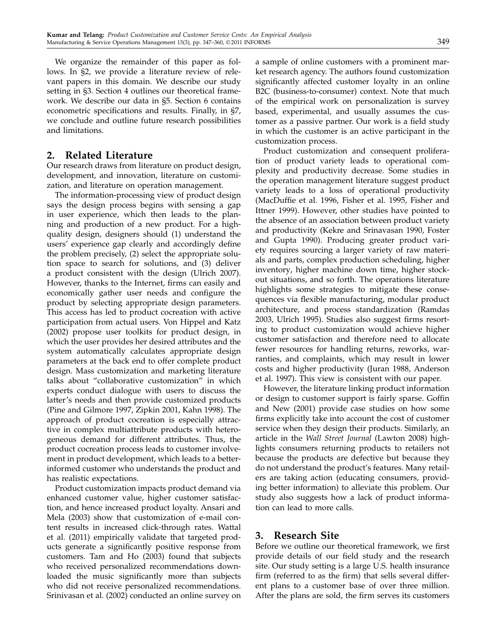We organize the remainder of this paper as follows. In §2, we provide a literature review of relevant papers in this domain. We describe our study setting in §3. Section 4 outlines our theoretical framework. We describe our data in §5. Section 6 contains econometric specifications and results. Finally, in §7, we conclude and outline future research possibilities and limitations.

# 2. Related Literature

Our research draws from literature on product design, development, and innovation, literature on customization, and literature on operation management.

The information-processing view of product design says the design process begins with sensing a gap in user experience, which then leads to the planning and production of a new product. For a highquality design, designers should (1) understand the users' experience gap clearly and accordingly define the problem precisely, (2) select the appropriate solution space to search for solutions, and (3) deliver a product consistent with the design (Ulrich 2007). However, thanks to the Internet, firms can easily and economically gather user needs and configure the product by selecting appropriate design parameters. This access has led to product cocreation with active participation from actual users. Von Hippel and Katz (2002) propose user toolkits for product design, in which the user provides her desired attributes and the system automatically calculates appropriate design parameters at the back end to offer complete product design. Mass customization and marketing literature talks about "collaborative customization" in which experts conduct dialogue with users to discuss the latter's needs and then provide customized products (Pine and Gilmore 1997, Zipkin 2001, Kahn 1998). The approach of product cocreation is especially attractive in complex multiattribute products with heterogeneous demand for different attributes. Thus, the product cocreation process leads to customer involvement in product development, which leads to a betterinformed customer who understands the product and has realistic expectations.

Product customization impacts product demand via enhanced customer value, higher customer satisfaction, and hence increased product loyalty. Ansari and Mela (2003) show that customization of e-mail content results in increased click-through rates. Wattal et al. (2011) empirically validate that targeted products generate a significantly positive response from customers. Tam and Ho (2003) found that subjects who received personalized recommendations downloaded the music significantly more than subjects who did not receive personalized recommendations. Srinivasan et al. (2002) conducted an online survey on a sample of online customers with a prominent market research agency. The authors found customization significantly affected customer loyalty in an online B2C (business-to-consumer) context. Note that much of the empirical work on personalization is survey based, experimental, and usually assumes the customer as a passive partner. Our work is a field study in which the customer is an active participant in the customization process.

Product customization and consequent proliferation of product variety leads to operational complexity and productivity decrease. Some studies in the operation management literature suggest product variety leads to a loss of operational productivity (MacDuffie et al. 1996, Fisher et al. 1995, Fisher and Ittner 1999). However, other studies have pointed to the absence of an association between product variety and productivity (Kekre and Srinavasan 1990, Foster and Gupta 1990). Producing greater product variety requires sourcing a larger variety of raw materials and parts, complex production scheduling, higher inventory, higher machine down time, higher stockout situations, and so forth. The operations literature highlights some strategies to mitigate these consequences via flexible manufacturing, modular product architecture, and process standardization (Ramdas 2003, Ulrich 1995). Studies also suggest firms resorting to product customization would achieve higher customer satisfaction and therefore need to allocate fewer resources for handling returns, reworks, warranties, and complaints, which may result in lower costs and higher productivity (Juran 1988, Anderson et al. 1997). This view is consistent with our paper.

However, the literature linking product information or design to customer support is fairly sparse. Goffin and New (2001) provide case studies on how some firms explicitly take into account the cost of customer service when they design their products. Similarly, an article in the Wall Street Journal (Lawton 2008) highlights consumers returning products to retailers not because the products are defective but because they do not understand the product's features. Many retailers are taking action (educating consumers, providing better information) to alleviate this problem. Our study also suggests how a lack of product information can lead to more calls.

# 3. Research Site

Before we outline our theoretical framework, we first provide details of our field study and the research site. Our study setting is a large U.S. health insurance firm (referred to as the firm) that sells several different plans to a customer base of over three million. After the plans are sold, the firm serves its customers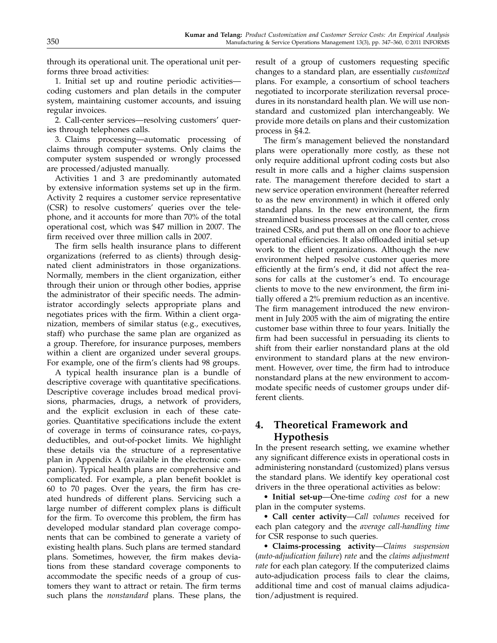through its operational unit. The operational unit performs three broad activities:

1. Initial set up and routine periodic activities coding customers and plan details in the computer system, maintaining customer accounts, and issuing regular invoices.

2. Call-center services—resolving customers' queries through telephones calls.

3. Claims processing—automatic processing of claims through computer systems. Only claims the computer system suspended or wrongly processed are processed/adjusted manually.

Activities 1 and 3 are predominantly automated by extensive information systems set up in the firm. Activity 2 requires a customer service representative (CSR) to resolve customers' queries over the telephone, and it accounts for more than 70% of the total operational cost, which was \$47 million in 2007. The firm received over three million calls in 2007.

The firm sells health insurance plans to different organizations (referred to as clients) through designated client administrators in those organizations. Normally, members in the client organization, either through their union or through other bodies, apprise the administrator of their specific needs. The administrator accordingly selects appropriate plans and negotiates prices with the firm. Within a client organization, members of similar status (e.g., executives, staff) who purchase the same plan are organized as a group. Therefore, for insurance purposes, members within a client are organized under several groups. For example, one of the firm's clients had 98 groups.

A typical health insurance plan is a bundle of descriptive coverage with quantitative specifications. Descriptive coverage includes broad medical provisions, pharmacies, drugs, a network of providers, and the explicit exclusion in each of these categories. Quantitative specifications include the extent of coverage in terms of coinsurance rates, co-pays, deductibles, and out-of-pocket limits. We highlight these details via the structure of a representative plan in Appendix A (available in the electronic companion). Typical health plans are comprehensive and complicated. For example, a plan benefit booklet is 60 to 70 pages. Over the years, the firm has created hundreds of different plans. Servicing such a large number of different complex plans is difficult for the firm. To overcome this problem, the firm has developed modular standard plan coverage components that can be combined to generate a variety of existing health plans. Such plans are termed standard plans. Sometimes, however, the firm makes deviations from these standard coverage components to accommodate the specific needs of a group of customers they want to attract or retain. The firm terms such plans the *nonstandard* plans. These plans, the

result of a group of customers requesting specific changes to a standard plan, are essentially customized plans. For example, a consortium of school teachers negotiated to incorporate sterilization reversal procedures in its nonstandard health plan. We will use nonstandard and customized plan interchangeably. We provide more details on plans and their customization process in §4.2.

The firm's management believed the nonstandard plans were operationally more costly, as these not only require additional upfront coding costs but also result in more calls and a higher claims suspension rate. The management therefore decided to start a new service operation environment (hereafter referred to as the new environment) in which it offered only standard plans. In the new environment, the firm streamlined business processes at the call center, cross trained CSRs, and put them all on one floor to achieve operational efficiencies. It also offloaded initial set-up work to the client organizations. Although the new environment helped resolve customer queries more efficiently at the firm's end, it did not affect the reasons for calls at the customer's end. To encourage clients to move to the new environment, the firm initially offered a 2% premium reduction as an incentive. The firm management introduced the new environment in July 2005 with the aim of migrating the entire customer base within three to four years. Initially the firm had been successful in persuading its clients to shift from their earlier nonstandard plans at the old environment to standard plans at the new environment. However, over time, the firm had to introduce nonstandard plans at the new environment to accommodate specific needs of customer groups under different clients.

# 4. Theoretical Framework and Hypothesis

In the present research setting, we examine whether any significant difference exists in operational costs in administering nonstandard (customized) plans versus the standard plans. We identify key operational cost drivers in the three operational activities as below:

• Initial set-up-One-time coding cost for a new plan in the computer systems.

• Call center activity—Call volumes received for each plan category and the average call-handling time for CSR response to such queries.

• Claims-processing activity—Claims suspension (auto-adjudication failure) rate and the claims adjustment rate for each plan category. If the computerized claims auto-adjudication process fails to clear the claims, additional time and cost of manual claims adjudication/adjustment is required.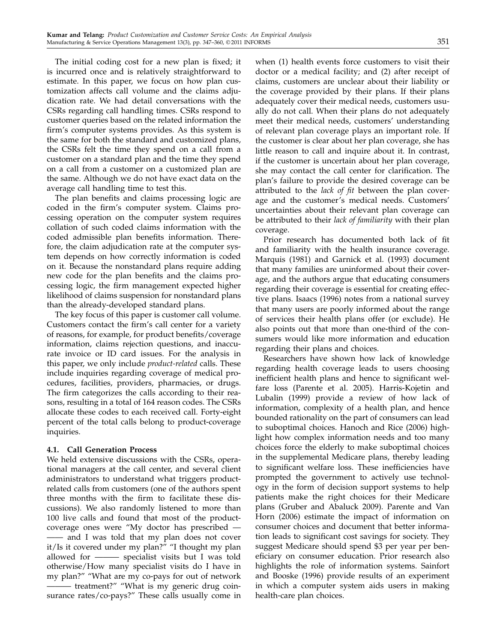The initial coding cost for a new plan is fixed; it is incurred once and is relatively straightforward to estimate. In this paper, we focus on how plan customization affects call volume and the claims adjudication rate. We had detail conversations with the CSRs regarding call handling times. CSRs respond to customer queries based on the related information the firm's computer systems provides. As this system is the same for both the standard and customized plans, the CSRs felt the time they spend on a call from a customer on a standard plan and the time they spend on a call from a customer on a customized plan are the same. Although we do not have exact data on the average call handling time to test this.

The plan benefits and claims processing logic are coded in the firm's computer system. Claims processing operation on the computer system requires collation of such coded claims information with the coded admissible plan benefits information. Therefore, the claim adjudication rate at the computer system depends on how correctly information is coded on it. Because the nonstandard plans require adding new code for the plan benefits and the claims processing logic, the firm management expected higher likelihood of claims suspension for nonstandard plans than the already-developed standard plans.

The key focus of this paper is customer call volume. Customers contact the firm's call center for a variety of reasons, for example, for product benefits/coverage information, claims rejection questions, and inaccurate invoice or ID card issues. For the analysis in this paper, we only include product-related calls. These include inquiries regarding coverage of medical procedures, facilities, providers, pharmacies, or drugs. The firm categorizes the calls according to their reasons, resulting in a total of 164 reason codes. The CSRs allocate these codes to each received call. Forty-eight percent of the total calls belong to product-coverage inquiries.

### 4.1. Call Generation Process

We held extensive discussions with the CSRs, operational managers at the call center, and several client administrators to understand what triggers productrelated calls from customers (one of the authors spent three months with the firm to facilitate these discussions). We also randomly listened to more than 100 live calls and found that most of the productcoverage ones were "My doctor has prescribed — —— and I was told that my plan does not cover it/Is it covered under my plan?" "I thought my plan allowed for ——— specialist visits but I was told otherwise/How many specialist visits do I have in my plan?" "What are my co-pays for out of network ——— treatment?" "What is my generic drug coinsurance rates/co-pays?" These calls usually come in

when (1) health events force customers to visit their doctor or a medical facility; and (2) after receipt of claims, customers are unclear about their liability or the coverage provided by their plans. If their plans adequately cover their medical needs, customers usually do not call. When their plans do not adequately meet their medical needs, customers' understanding of relevant plan coverage plays an important role. If the customer is clear about her plan coverage, she has little reason to call and inquire about it. In contrast, if the customer is uncertain about her plan coverage, she may contact the call center for clarification. The plan's failure to provide the desired coverage can be attributed to the lack of fit between the plan coverage and the customer's medical needs. Customers' uncertainties about their relevant plan coverage can be attributed to their *lack of familiarity* with their plan coverage.

Prior research has documented both lack of fit and familiarity with the health insurance coverage. Marquis (1981) and Garnick et al. (1993) document that many families are uninformed about their coverage, and the authors argue that educating consumers regarding their coverage is essential for creating effective plans. Isaacs (1996) notes from a national survey that many users are poorly informed about the range of services their health plans offer (or exclude). He also points out that more than one-third of the consumers would like more information and education regarding their plans and choices.

Researchers have shown how lack of knowledge regarding health coverage leads to users choosing inefficient health plans and hence to significant welfare loss (Parente et al. 2005). Harris-Kojetin and Lubalin (1999) provide a review of how lack of information, complexity of a health plan, and hence bounded rationality on the part of consumers can lead to suboptimal choices. Hanoch and Rice (2006) highlight how complex information needs and too many choices force the elderly to make suboptimal choices in the supplemental Medicare plans, thereby leading to significant welfare loss. These inefficiencies have prompted the government to actively use technology in the form of decision support systems to help patients make the right choices for their Medicare plans (Gruber and Abaluck 2009). Parente and Van Horn (2006) estimate the impact of information on consumer choices and document that better information leads to significant cost savings for society. They suggest Medicare should spend \$3 per year per beneficiary on consumer education. Prior research also highlights the role of information systems. Sainfort and Booske (1996) provide results of an experiment in which a computer system aids users in making health-care plan choices.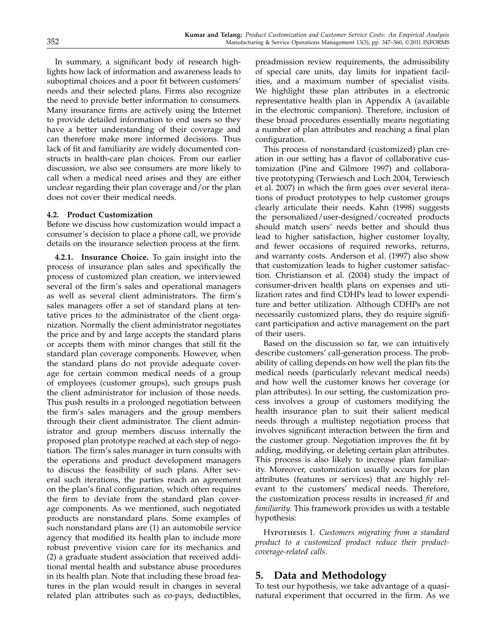In summary, a significant body of research highlights how lack of information and awareness leads to suboptimal choices and a poor fit between customers' needs and their selected plans. Firms also recognize the need to provide better information to consumers. Many insurance firms are actively using the Internet to provide detailed information to end users so they have a better understanding of their coverage and can therefore make more informed decisions. Thus lack of fit and familiarity are widely documented constructs in health-care plan choices. From our earlier discussion, we also see consumers are more likely to call when a medical need arises and they are either unclear regarding their plan coverage and/or the plan does not cover their medical needs.

#### 4.2. Product Customization

Before we discuss how customization would impact a consumer's decision to place a phone call, we provide details on the insurance selection process at the firm.

4.2.1. Insurance Choice. To gain insight into the process of insurance plan sales and specifically the process of customized plan creation, we interviewed several of the firm's sales and operational managers as well as several client administrators. The firm's sales managers offer a set of standard plans at tentative prices to the administrator of the client organization. Normally the client administrator negotiates the price and by and large accepts the standard plans or accepts them with minor changes that still fit the standard plan coverage components. However, when the standard plans do not provide adequate coverage for certain common medical needs of a group of employees (customer groups), such groups push the client administrator for inclusion of those needs. This push results in a prolonged negotiation between the firm's sales managers and the group members through their client administrator. The client administrator and group members discuss internally the proposed plan prototype reached at each step of negotiation. The firm's sales manager in turn consults with the operations and product development managers to discuss the feasibility of such plans. After several such iterations, the parties reach an agreement on the plan's final configuration, which often requires the firm to deviate from the standard plan coverage components. As we mentioned, such negotiated products are nonstandard plans. Some examples of such nonstandard plans are (1) an automobile service agency that modified its health plan to include more robust preventive vision care for its mechanics and (2) a graduate student association that received additional mental health and substance abuse procedures in its health plan. Note that including these broad features in the plan would result in changes in several related plan attributes such as co-pays, deductibles,

preadmission review requirements, the admissibility of special care units, day limits for inpatient facilities, and a maximum number of specialist visits. We highlight these plan attributes in a electronic representative health plan in Appendix A (available in the electronic companion). Therefore, inclusion of these broad procedures essentially means negotiating a number of plan attributes and reaching a final plan configuration.

This process of nonstandard (customized) plan creation in our setting has a flavor of collaborative customization (Pine and Gilmore 1997) and collaborative prototyping (Terwiesch and Loch 2004, Terwiesch et al. 2007) in which the firm goes over several iterations of product prototypes to help customer groups clearly articulate their needs. Kahn (1998) suggests the personalized/user-designed/cocreated products should match users' needs better and should thus lead to higher satisfaction, higher customer loyalty, and fewer occasions of required reworks, returns, and warranty costs. Anderson et al. (1997) also show that customization leads to higher customer satisfaction. Christianson et al. (2004) study the impact of consumer-driven health plans on expenses and utilization rates and find CDHPs lead to lower expenditure and better utilization. Although CDHPs are not necessarily customized plans, they do require significant participation and active management on the part of their users.

Based on the discussion so far, we can intuitively describe customers' call-generation process. The probability of calling depends on how well the plan fits the medical needs (particularly relevant medical needs) and how well the customer knows her coverage (or plan attributes). In our setting, the customization process involves a group of customers modifying the health insurance plan to suit their salient medical needs through a multistep negotiation process that involves significant interaction between the firm and the customer group. Negotiation improves the fit by adding, modifying, or deleting certain plan attributes. This process is also likely to increase plan familiarity. Moreover, customization usually occurs for plan attributes (features or services) that are highly relevant to the customers' medical needs. Therefore, the customization process results in increased fit and familiarity. This framework provides us with a testable hypothesis:

HYPOTHESIS 1. Customers migrating from a standard product to a customized product reduce their productcoverage-related calls.

# 5. Data and Methodology

To test our hypothesis, we take advantage of a quasinatural experiment that occurred in the firm. As we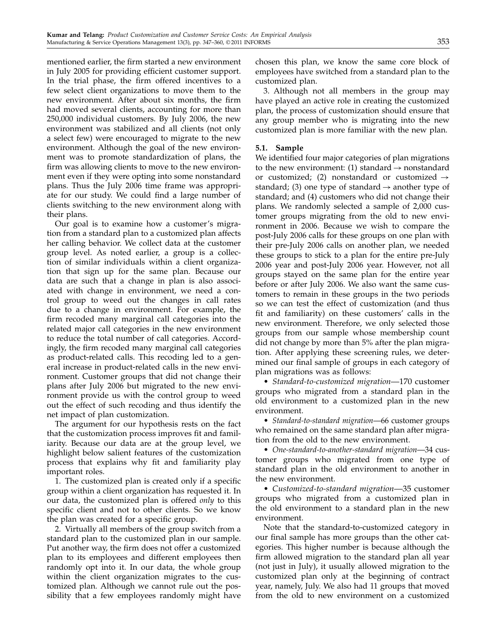mentioned earlier, the firm started a new environment in July 2005 for providing efficient customer support. In the trial phase, the firm offered incentives to a few select client organizations to move them to the new environment. After about six months, the firm had moved several clients, accounting for more than 250,000 individual customers. By July 2006, the new environment was stabilized and all clients (not only a select few) were encouraged to migrate to the new environment. Although the goal of the new environment was to promote standardization of plans, the firm was allowing clients to move to the new environment even if they were opting into some nonstandard plans. Thus the July 2006 time frame was appropriate for our study. We could find a large number of clients switching to the new environment along with their plans.

Our goal is to examine how a customer's migration from a standard plan to a customized plan affects her calling behavior. We collect data at the customer group level. As noted earlier, a group is a collection of similar individuals within a client organization that sign up for the same plan. Because our data are such that a change in plan is also associated with change in environment, we need a control group to weed out the changes in call rates due to a change in environment. For example, the firm recoded many marginal call categories into the related major call categories in the new environment to reduce the total number of call categories. Accordingly, the firm recoded many marginal call categories as product-related calls. This recoding led to a general increase in product-related calls in the new environment. Customer groups that did not change their plans after July 2006 but migrated to the new environment provide us with the control group to weed out the effect of such recoding and thus identify the net impact of plan customization.

The argument for our hypothesis rests on the fact that the customization process improves fit and familiarity. Because our data are at the group level, we highlight below salient features of the customization process that explains why fit and familiarity play important roles.

1. The customized plan is created only if a specific group within a client organization has requested it. In our data, the customized plan is offered only to this specific client and not to other clients. So we know the plan was created for a specific group.

2. Virtually all members of the group switch from a standard plan to the customized plan in our sample. Put another way, the firm does not offer a customized plan to its employees and different employees then randomly opt into it. In our data, the whole group within the client organization migrates to the customized plan. Although we cannot rule out the possibility that a few employees randomly might have chosen this plan, we know the same core block of employees have switched from a standard plan to the customized plan.

3. Although not all members in the group may have played an active role in creating the customized plan, the process of customization should ensure that any group member who is migrating into the new customized plan is more familiar with the new plan.

#### 5.1. Sample

We identified four major categories of plan migrations to the new environment: (1) standard  $\rightarrow$  nonstandard or customized; (2) nonstandard or customized  $\rightarrow$ standard; (3) one type of standard  $\rightarrow$  another type of standard; and (4) customers who did not change their plans. We randomly selected a sample of 2,000 customer groups migrating from the old to new environment in 2006. Because we wish to compare the post-July 2006 calls for these groups on one plan with their pre-July 2006 calls on another plan, we needed these groups to stick to a plan for the entire pre-July 2006 year and post-July 2006 year. However, not all groups stayed on the same plan for the entire year before or after July 2006. We also want the same customers to remain in these groups in the two periods so we can test the effect of customization (and thus fit and familiarity) on these customers' calls in the new environment. Therefore, we only selected those groups from our sample whose membership count did not change by more than 5% after the plan migration. After applying these screening rules, we determined our final sample of groups in each category of plan migrations was as follows:

• Standard-to-customized migration—170 customer groups who migrated from a standard plan in the old environment to a customized plan in the new environment.

• Standard-to-standard migration—66 customer groups who remained on the same standard plan after migration from the old to the new environment.

• One-standard-to-another-standard migration—34 customer groups who migrated from one type of standard plan in the old environment to another in the new environment.

• Customized-to-standard migration—35 customer groups who migrated from a customized plan in the old environment to a standard plan in the new environment.

Note that the standard-to-customized category in our final sample has more groups than the other categories. This higher number is because although the firm allowed migration to the standard plan all year (not just in July), it usually allowed migration to the customized plan only at the beginning of contract year, namely, July. We also had 11 groups that moved from the old to new environment on a customized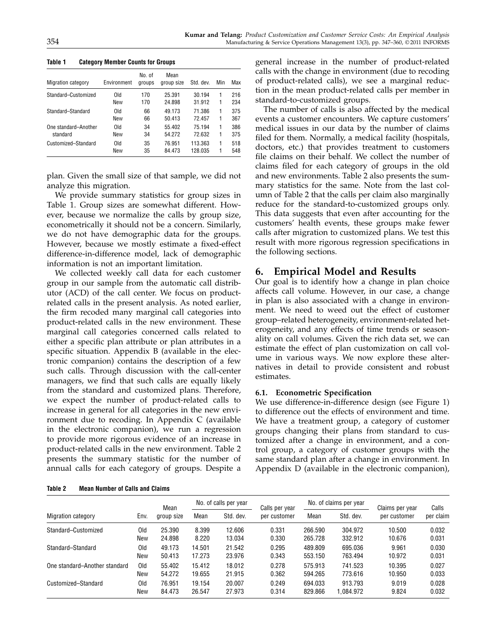| Migration category               | Environment | No. of<br>groups | Mean<br>group size | Std. dev.          | Min    | Max        |
|----------------------------------|-------------|------------------|--------------------|--------------------|--------|------------|
| Standard-Customized              | 0ld<br>New  | 170<br>170       | 25.391<br>24.898   | 30 194<br>31.912   | 1      | 216<br>234 |
| Standard-Standard                | 0ld<br>New  | 66<br>66         | 49 173<br>50.413   | 71 386<br>72 457   | 1<br>1 | 375<br>367 |
| One standard-Another<br>standard | 0ld<br>New  | 34<br>34         | 55.402<br>54 272   | 75 194<br>72 632   | 1<br>1 | 386<br>375 |
| Customized-Standard              | 0ld<br>New  | 35<br>35         | 76.951<br>84.473   | 113.363<br>128.035 | 1      | 518<br>548 |

#### Table 1 Category Member Counts for Groups

plan. Given the small size of that sample, we did not analyze this migration.

We provide summary statistics for group sizes in Table 1. Group sizes are somewhat different. However, because we normalize the calls by group size, econometrically it should not be a concern. Similarly, we do not have demographic data for the groups. However, because we mostly estimate a fixed-effect difference-in-difference model, lack of demographic information is not an important limitation.

We collected weekly call data for each customer group in our sample from the automatic call distributor (ACD) of the call center. We focus on productrelated calls in the present analysis. As noted earlier, the firm recoded many marginal call categories into product-related calls in the new environment. These marginal call categories concerned calls related to either a specific plan attribute or plan attributes in a specific situation. Appendix B (available in the electronic companion) contains the description of a few such calls. Through discussion with the call-center managers, we find that such calls are equally likely from the standard and customized plans. Therefore, we expect the number of product-related calls to increase in general for all categories in the new environment due to recoding. In Appendix C (available in the electronic companion), we run a regression to provide more rigorous evidence of an increase in product-related calls in the new environment. Table 2 presents the summary statistic for the number of annual calls for each category of groups. Despite a

Table 2 Mean Number of Calls and Claims

general increase in the number of product-related calls with the change in environment (due to recoding of product-related calls), we see a marginal reduction in the mean product-related calls per member in standard-to-customized groups.

The number of calls is also affected by the medical events a customer encounters. We capture customers' medical issues in our data by the number of claims filed for them. Normally, a medical facility (hospitals, doctors, etc.) that provides treatment to customers file claims on their behalf. We collect the number of claims filed for each category of groups in the old and new environments. Table 2 also presents the summary statistics for the same. Note from the last column of Table 2 that the calls per claim also marginally reduce for the standard-to-customized groups only. This data suggests that even after accounting for the customers' health events, these groups make fewer calls after migration to customized plans. We test this result with more rigorous regression specifications in the following sections.

# 6. Empirical Model and Results

Our goal is to identify how a change in plan choice affects call volume. However, in our case, a change in plan is also associated with a change in environment. We need to weed out the effect of customer group–related heterogeneity, environment-related heterogeneity, and any effects of time trends or seasonality on call volumes. Given the rich data set, we can estimate the effect of plan customization on call volume in various ways. We now explore these alternatives in detail to provide consistent and robust estimates.

#### 6.1. Econometric Specification

We use difference-in-difference design (see Figure 1) to difference out the effects of environment and time. We have a treatment group, a category of customer groups changing their plans from standard to customized after a change in environment, and a control group, a category of customer groups with the same standard plan after a change in environment. In Appendix D (available in the electronic companion),

|                               | Env. | Mean<br>group size | No. of calls per year |           | Calls per year | No. of claims per year |           | Claims per year | Calls     |
|-------------------------------|------|--------------------|-----------------------|-----------|----------------|------------------------|-----------|-----------------|-----------|
| Migration category            |      |                    | Mean                  | Std. dev. | per customer   | Mean                   | Std. dev. | per customer    | per claim |
| Standard-Customized           | 0ld  | 25.390             | 8.399                 | 12.606    | 0.331          | 266.590                | 304.972   | 10.500          | 0.032     |
|                               | New  | 24.898             | 8.220                 | 13.034    | 0.330          | 265.728                | 332.912   | 10.676          | 0.031     |
| Standard-Standard             | 0ld  | 49.173             | 14.501                | 21.542    | 0.295          | 489.809                | 695.036   | 9.961           | 0.030     |
|                               | New  | 50.413             | 17.273                | 23.976    | 0.343          | 553.150                | 763.494   | 10.972          | 0.031     |
| One standard-Another standard | Old  | 55.402             | 15.412                | 18.012    | 0.278          | 575.913                | 741.523   | 10.395          | 0.027     |
|                               | New  | 54.272             | 19.655                | 21.915    | 0.362          | 594.265                | 773.616   | 10.950          | 0.033     |
| Customized-Standard           | 0ld  | 76.951             | 19.154                | 20.007    | 0.249          | 694.033                | 913.793   | 9.019           | 0.028     |
|                               | New  | 84.473             | 26.547                | 27.973    | 0.314          | 829.866                | 1.084.972 | 9.824           | 0.032     |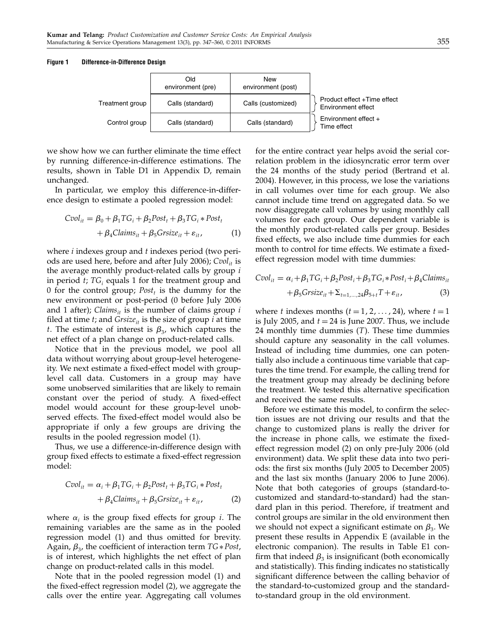#### Figure 1 Difference-in-Difference Design

|                 | Old<br>environment (pre) | New<br>environment (post) |                                                          |
|-----------------|--------------------------|---------------------------|----------------------------------------------------------|
| Treatment group | Calls (standard)         | Calls (customized)        | Product effect +Time effect<br><b>Environment effect</b> |
| Control group   | Calls (standard)         | Calls (standard)          | Environment effect $+$<br>Time effect                    |

we show how we can further eliminate the time effect by running difference-in-difference estimations. The results, shown in Table D1 in Appendix D, remain unchanged.

In particular, we employ this difference-in-difference design to estimate a pooled regression model:

$$
Cvol_{it} = \beta_0 + \beta_1 TG_i + \beta_2 Post_t + \beta_3 TG_i * Post_t
$$
  
+ 
$$
\beta_4 Clains_{it} + \beta_5 Grsize_{it} + \varepsilon_{it},
$$
 (1)

where  $i$  indexes group and  $t$  indexes period (two periods are used here, before and after July 2006);  $Cvol_{it}$  is the average monthly product-related calls by group i in period  $t$ ;  $TG_i$  equals 1 for the treatment group and  $0$  for the control group;  $Post_t$  is the dummy for the new environment or post-period (0 before July 2006 and 1 after); Claims<sub>it</sub> is the number of claims group i filed at time t; and  $Grsize_{it}$  is the size of group i at time t. The estimate of interest is  $\beta_3$ , which captures the net effect of a plan change on product-related calls.

Notice that in the previous model, we pool all data without worrying about group-level heterogeneity. We next estimate a fixed-effect model with grouplevel call data. Customers in a group may have some unobserved similarities that are likely to remain constant over the period of study. A fixed-effect model would account for these group-level unobserved effects. The fixed-effect model would also be appropriate if only a few groups are driving the results in the pooled regression model (1).

Thus, we use a difference-in-difference design with group fixed effects to estimate a fixed-effect regression model:

$$
Cvol_{it} = \alpha_i + \beta_1 TG_i + \beta_2 Post_t + \beta_3 TG_i * Post_t
$$
  
+ 
$$
\beta_4 Claims_{it} + \beta_5 Grsize_{it} + \varepsilon_{it},
$$
 (2)

where  $\alpha_i$  is the group fixed effects for group  $i$ . The remaining variables are the same as in the pooled regression model (1) and thus omitted for brevity. Again,  $\beta_3$ , the coefficient of interaction term  $TG * Post$ , is of interest, which highlights the net effect of plan change on product-related calls in this model.

Note that in the pooled regression model (1) and the fixed-effect regression model (2), we aggregate the calls over the entire year. Aggregating call volumes for the entire contract year helps avoid the serial correlation problem in the idiosyncratic error term over the 24 months of the study period (Bertrand et al. 2004). However, in this process, we lose the variations in call volumes over time for each group. We also cannot include time trend on aggregated data. So we now disaggregate call volumes by using monthly call volumes for each group. Our dependent variable is the monthly product-related calls per group. Besides fixed effects, we also include time dummies for each month to control for time effects. We estimate a fixedeffect regression model with time dummies:

$$
Cvol_{it} = \alpha_i + \beta_1 TG_i + \beta_2 Post_i + \beta_3 TG_i * Post_i + \beta_4 Cl aims_{it}
$$

$$
+ \beta_5 Grsize_{it} + \Sigma_{t=1,\dots,24} \beta_{5+t} T + \varepsilon_{it}, \tag{3}
$$

where t indexes months  $(t = 1, 2, \ldots, 24)$ , where  $t = 1$ is July 2005, and  $t = 24$  is June 2007. Thus, we include 24 monthly time dummies  $(T)$ . These time dummies should capture any seasonality in the call volumes. Instead of including time dummies, one can potentially also include a continuous time variable that captures the time trend. For example, the calling trend for the treatment group may already be declining before the treatment. We tested this alternative specification and received the same results.

Before we estimate this model, to confirm the selection issues are not driving our results and that the change to customized plans is really the driver for the increase in phone calls, we estimate the fixedeffect regression model (2) on only pre-July 2006 (old environment) data. We split these data into two periods: the first six months (July 2005 to December 2005) and the last six months (January 2006 to June 2006). Note that both categories of groups (standard-tocustomized and standard-to-standard) had the standard plan in this period. Therefore, if treatment and control groups are similar in the old environment then we should not expect a significant estimate on  $\beta_3$ . We present these results in Appendix E (available in the electronic companion). The results in Table E1 confirm that indeed  $\beta_3$  is insignificant (both economically and statistically). This finding indicates no statistically significant difference between the calling behavior of the standard-to-customized group and the standardto-standard group in the old environment.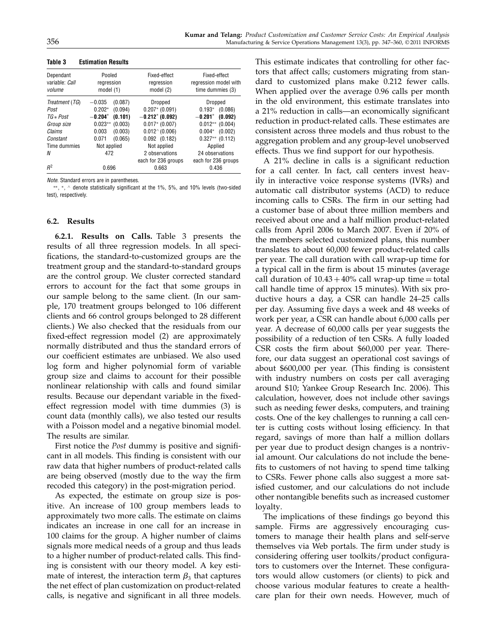| Dependant<br>variable: Call<br>volume | Pooled<br>regression<br>model (1) | Fixed-effect<br>regression<br>model(2) | Fixed-effect<br>regression model with<br>time dummies (3) |
|---------------------------------------|-----------------------------------|----------------------------------------|-----------------------------------------------------------|
| Treatment (TG)                        | $-0.035$<br>(0.087)               | Dropped                                | Dropped                                                   |
| Post                                  | $0.202*$<br>(0.094)               | $0.207*$ (0.091)                       | $0.193*$ (0.086)                                          |
| $TG * Post$                           | (0.101)<br>$-0.204*$              | $-0.212$ * (0.092)                     | $-0.201$ * (0.092)                                        |
| Group size                            | $0.023**$<br>(0.003)              | $0.017*(0.007)$                        | $0.012**$ (0.004)                                         |
| Claims                                | 0.003<br>(0.003)                  | $0.012^{\wedge} (0.006)$               | $0.004*$ (0.002)                                          |
| Constant                              | (0.065)<br>0.071                  | $0.092$ $(0.182)$                      | $0.327**$ (0.112)                                         |
| Time dummies                          | Not applied                       | Not applied                            | Applied                                                   |
| N                                     | 472                               | 2 observations<br>each for 236 groups  | 24 observations<br>each for 236 groups                    |
| $R^2$                                 | 0.696                             | 0.663                                  | 0.436                                                     |

Table 3 Estimation Results

Note. Standard errors are in parentheses.

∗∗ , ∗ , <sup>∧</sup> denote statistically significant at the 1%, 5%, and 10% levels (two-sided test), respectively.

#### 6.2. Results

6.2.1. Results on Calls. Table 3 presents the results of all three regression models. In all specifications, the standard-to-customized groups are the treatment group and the standard-to-standard groups are the control group. We cluster corrected standard errors to account for the fact that some groups in our sample belong to the same client. (In our sample, 170 treatment groups belonged to 106 different clients and 66 control groups belonged to 28 different clients.) We also checked that the residuals from our fixed-effect regression model (2) are approximately normally distributed and thus the standard errors of our coefficient estimates are unbiased. We also used log form and higher polynomial form of variable group size and claims to account for their possible nonlinear relationship with calls and found similar results. Because our dependant variable in the fixedeffect regression model with time dummies (3) is count data (monthly calls), we also tested our results with a Poisson model and a negative binomial model. The results are similar.

First notice the Post dummy is positive and significant in all models. This finding is consistent with our raw data that higher numbers of product-related calls are being observed (mostly due to the way the firm recoded this category) in the post-migration period.

As expected, the estimate on group size is positive. An increase of 100 group members leads to approximately two more calls. The estimate on claims indicates an increase in one call for an increase in 100 claims for the group. A higher number of claims signals more medical needs of a group and thus leads to a higher number of product-related calls. This finding is consistent with our theory model. A key estimate of interest, the interaction term  $\beta_3$  that captures the net effect of plan customization on product-related calls, is negative and significant in all three models. This estimate indicates that controlling for other factors that affect calls; customers migrating from standard to customized plans make 0.212 fewer calls. When applied over the average 0.96 calls per month in the old environment, this estimate translates into a 21% reduction in calls—an economically significant reduction in product-related calls. These estimates are consistent across three models and thus robust to the aggregation problem and any group-level unobserved effects. Thus we find support for our hypothesis.

A 21% decline in calls is a significant reduction for a call center. In fact, call centers invest heavily in interactive voice response systems (IVRs) and automatic call distributor systems (ACD) to reduce incoming calls to CSRs. The firm in our setting had a customer base of about three million members and received about one and a half million product-related calls from April 2006 to March 2007. Even if 20% of the members selected customized plans, this number translates to about 60,000 fewer product-related calls per year. The call duration with call wrap-up time for a typical call in the firm is about 15 minutes (average call duration of  $10.43 + 40\%$  call wrap-up time = total call handle time of approx 15 minutes). With six productive hours a day, a CSR can handle 24–25 calls per day. Assuming five days a week and 48 weeks of work per year, a CSR can handle about 6,000 calls per year. A decrease of 60,000 calls per year suggests the possibility of a reduction of ten CSRs. A fully loaded CSR costs the firm about \$60,000 per year. Therefore, our data suggest an operational cost savings of about \$600,000 per year. (This finding is consistent with industry numbers on costs per call averaging around \$10; Yankee Group Research Inc. 2006). This calculation, however, does not include other savings such as needing fewer desks, computers, and training costs. One of the key challenges to running a call center is cutting costs without losing efficiency. In that regard, savings of more than half a million dollars per year due to product design changes is a nontrivial amount. Our calculations do not include the benefits to customers of not having to spend time talking to CSRs. Fewer phone calls also suggest a more satisfied customer, and our calculations do not include other nontangible benefits such as increased customer loyalty.

The implications of these findings go beyond this sample. Firms are aggressively encouraging customers to manage their health plans and self-serve themselves via Web portals. The firm under study is considering offering user toolkits/product configurators to customers over the Internet. These configurators would allow customers (or clients) to pick and choose various modular features to create a healthcare plan for their own needs. However, much of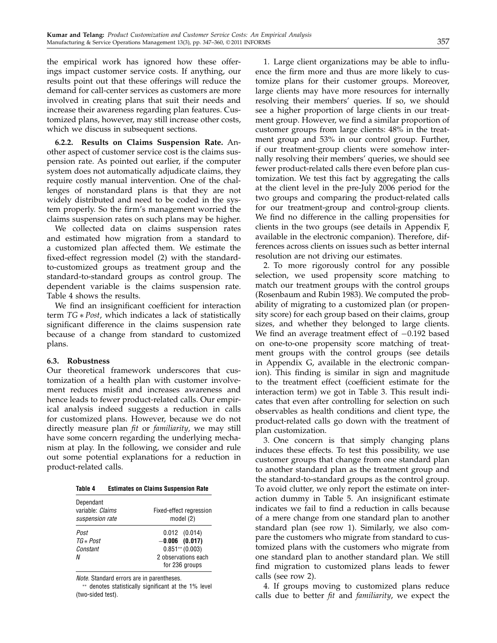the empirical work has ignored how these offerings impact customer service costs. If anything, our results point out that these offerings will reduce the demand for call-center services as customers are more involved in creating plans that suit their needs and increase their awareness regarding plan features. Customized plans, however, may still increase other costs, which we discuss in subsequent sections.

6.2.2. Results on Claims Suspension Rate. Another aspect of customer service cost is the claims suspension rate. As pointed out earlier, if the computer system does not automatically adjudicate claims, they require costly manual intervention. One of the challenges of nonstandard plans is that they are not widely distributed and need to be coded in the system properly. So the firm's management worried the claims suspension rates on such plans may be higher.

We collected data on claims suspension rates and estimated how migration from a standard to a customized plan affected them. We estimate the fixed-effect regression model (2) with the standardto-customized groups as treatment group and the standard-to-standard groups as control group. The dependent variable is the claims suspension rate. Table 4 shows the results.

We find an insignificant coefficient for interaction term TG ∗ Post, which indicates a lack of statistically significant difference in the claims suspension rate because of a change from standard to customized plans.

#### 6.3. Robustness

Our theoretical framework underscores that customization of a health plan with customer involvement reduces misfit and increases awareness and hence leads to fewer product-related calls. Our empirical analysis indeed suggests a reduction in calls for customized plans. However, because we do not directly measure plan fit or familiarity, we may still have some concern regarding the underlying mechanism at play. In the following, we consider and rule out some potential explanations for a reduction in product-related calls.

| Table 4 | <b>Estimates on Claims Suspension Rate</b> |  |  |
|---------|--------------------------------------------|--|--|
|         |                                            |  |  |

| Dependant<br>variable: Claims<br>suspension rate | Fixed-effect regression<br>model $(2)$                                                              |
|--------------------------------------------------|-----------------------------------------------------------------------------------------------------|
| Post<br>$TG*Post$<br>Constant<br>N               | $0.012$ $(0.014)$<br>$-0.006$ (0.017)<br>$0.851**$ (0.003)<br>2 observations each<br>for 236 groups |

Note. Standard errors are in parentheses.

∗∗ denotes statistically significant at the 1% level (two-sided test).

1. Large client organizations may be able to influence the firm more and thus are more likely to customize plans for their customer groups. Moreover, large clients may have more resources for internally resolving their members' queries. If so, we should see a higher proportion of large clients in our treatment group. However, we find a similar proportion of customer groups from large clients: 48% in the treatment group and 53% in our control group. Further, if our treatment-group clients were somehow internally resolving their members' queries, we should see fewer product-related calls there even before plan customization. We test this fact by aggregating the calls at the client level in the pre-July 2006 period for the two groups and comparing the product-related calls for our treatment-group and control-group clients. We find no difference in the calling propensities for clients in the two groups (see details in Appendix F, available in the electronic companion). Therefore, differences across clients on issues such as better internal resolution are not driving our estimates.

2. To more rigorously control for any possible selection, we used propensity score matching to match our treatment groups with the control groups (Rosenbaum and Rubin 1983). We computed the probability of migrating to a customized plan (or propensity score) for each group based on their claims, group sizes, and whether they belonged to large clients. We find an average treatment effect of −0.192 based on one-to-one propensity score matching of treatment groups with the control groups (see details in Appendix G, available in the electronic companion). This finding is similar in sign and magnitude to the treatment effect (coefficient estimate for the interaction term) we got in Table 3. This result indicates that even after controlling for selection on such observables as health conditions and client type, the product-related calls go down with the treatment of plan customization.

3. One concern is that simply changing plans induces these effects. To test this possibility, we use customer groups that change from one standard plan to another standard plan as the treatment group and the standard-to-standard groups as the control group. To avoid clutter, we only report the estimate on interaction dummy in Table 5. An insignificant estimate indicates we fail to find a reduction in calls because of a mere change from one standard plan to another standard plan (see row 1). Similarly, we also compare the customers who migrate from standard to customized plans with the customers who migrate from one standard plan to another standard plan. We still find migration to customized plans leads to fewer calls (see row 2).

4. If groups moving to customized plans reduce calls due to better fit and familiarity, we expect the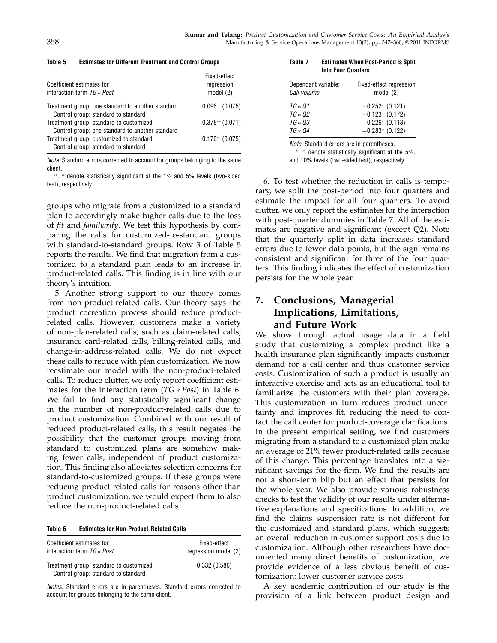| Coefficient estimates for<br>interaction term $TG * Post$                                  | Fixed-effect<br>regression<br>model (2) |
|--------------------------------------------------------------------------------------------|-----------------------------------------|
| Treatment group: one standard to another standard<br>Control group: standard to standard   | $0.096$ $(0.075)$                       |
| Treatment group: standard to customized<br>Control group: one standard to another standard | $-0.378**$ (0.071)                      |
| Treatment group: customized to standard<br>Control group: standard to standard             | $0.170*(0.075)$                         |

Table 5 Estimates for Different Treatment and Control Groups

Note. Standard errors corrected to account for groups belonging to the same client.

∗∗ , <sup>∗</sup> denote statistically significant at the 1% and 5% levels (two-sided test), respectively.

groups who migrate from a customized to a standard plan to accordingly make higher calls due to the loss of fit and familiarity. We test this hypothesis by comparing the calls for customized-to-standard groups with standard-to-standard groups. Row 3 of Table 5 reports the results. We find that migration from a customized to a standard plan leads to an increase in product-related calls. This finding is in line with our theory's intuition.

5. Another strong support to our theory comes from non-product-related calls. Our theory says the product cocreation process should reduce productrelated calls. However, customers make a variety of non-plan-related calls, such as claim-related calls, insurance card-related calls, billing-related calls, and change-in-address-related calls. We do not expect these calls to reduce with plan customization. We now reestimate our model with the non-product-related calls. To reduce clutter, we only report coefficient estimates for the interaction term  $(TG * Post)$  in Table 6. We fail to find any statistically significant change in the number of non-product-related calls due to product customization. Combined with our result of reduced product-related calls, this result negates the possibility that the customer groups moving from standard to customized plans are somehow making fewer calls, independent of product customization. This finding also alleviates selection concerns for standard-to-customized groups. If these groups were reducing product-related calls for reasons other than product customization, we would expect them to also reduce the non-product-related calls.

| Table 6 | <b>Estimates for Non-Product-Related Calls</b> |  |  |  |
|---------|------------------------------------------------|--|--|--|
|         |                                                |  |  |  |

| Coefficient estimates for                                                      | Fixed-effect         |
|--------------------------------------------------------------------------------|----------------------|
| interaction term $TG * Post$                                                   | regression model (2) |
| Treatment group: standard to customized<br>Control group: standard to standard | 0.332(0.586)         |

Notes. Standard errors are in parentheses. Standard errors corrected to account for groups belonging to the same client.

| Table 7 | <b>Estimates When Post-Period Is Split</b> |
|---------|--------------------------------------------|
|         | <b>Into Four Quarters</b>                  |

| Dependant variable: | Fixed-effect regression |
|---------------------|-------------------------|
| Call volume         | model $(2)$             |
| $TG \ast Q1$        | $-0.252*(0.121)$        |
| $TG \ast Q2$        | $-0.123$ (0.172)        |
| $TG \ast Q3$        | $-0.226$ (0.113)        |
| $TG \ast 04$        | $-0.283(0.122)$         |

Note. Standard errors are in parentheses.

∗ , <sup>∧</sup> denote statistically significant at the 5%,

and 10% levels (two-sided test), respectively.

6. To test whether the reduction in calls is temporary, we split the post-period into four quarters and estimate the impact for all four quarters. To avoid clutter, we only report the estimates for the interaction with post-quarter dummies in Table 7. All of the estimates are negative and significant (except Q2). Note that the quarterly split in data increases standard errors due to fewer data points, but the sign remains consistent and significant for three of the four quarters. This finding indicates the effect of customization persists for the whole year.

# 7. Conclusions, Managerial Implications, Limitations, and Future Work

We show through actual usage data in a field study that customizing a complex product like a health insurance plan significantly impacts customer demand for a call center and thus customer service costs. Customization of such a product is usually an interactive exercise and acts as an educational tool to familiarize the customers with their plan coverage. This customization in turn reduces product uncertainty and improves fit, reducing the need to contact the call center for product-coverage clarifications. In the present empirical setting, we find customers migrating from a standard to a customized plan make an average of 21% fewer product-related calls because of this change. This percentage translates into a significant savings for the firm. We find the results are not a short-term blip but an effect that persists for the whole year. We also provide various robustness checks to test the validity of our results under alternative explanations and specifications. In addition, we find the claims suspension rate is not different for the customized and standard plans, which suggests an overall reduction in customer support costs due to customization. Although other researchers have documented many direct benefits of customization, we provide evidence of a less obvious benefit of customization: lower customer service costs.

A key academic contribution of our study is the provision of a link between product design and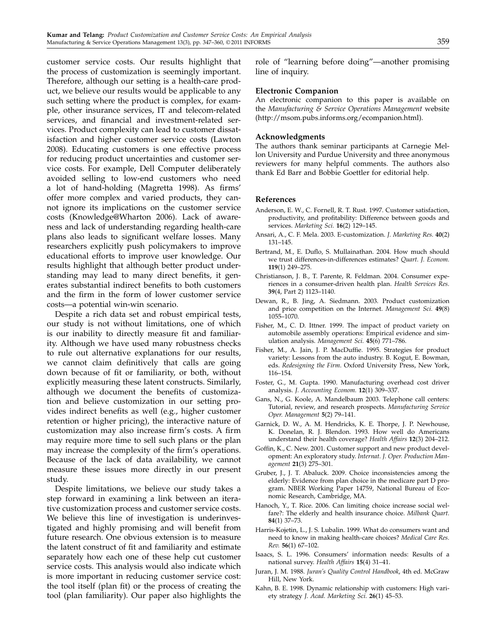customer service costs. Our results highlight that the process of customization is seemingly important. Therefore, although our setting is a health-care product, we believe our results would be applicable to any such setting where the product is complex, for example, other insurance services, IT and telecom-related services, and financial and investment-related services. Product complexity can lead to customer dissatisfaction and higher customer service costs (Lawton 2008). Educating customers is one effective process for reducing product uncertainties and customer service costs. For example, Dell Computer deliberately avoided selling to low-end customers who need a lot of hand-holding (Magretta 1998). As firms' offer more complex and varied products, they cannot ignore its implications on the customer service costs (Knowledge@Wharton 2006). Lack of awareness and lack of understanding regarding health-care plans also leads to significant welfare losses. Many researchers explicitly push policymakers to improve educational efforts to improve user knowledge. Our results highlight that although better product understanding may lead to many direct benefits, it generates substantial indirect benefits to both customers and the firm in the form of lower customer service costs—a potential win-win scenario.

Despite a rich data set and robust empirical tests, our study is not without limitations, one of which is our inability to directly measure fit and familiarity. Although we have used many robustness checks to rule out alternative explanations for our results, we cannot claim definitively that calls are going down because of fit or familiarity, or both, without explicitly measuring these latent constructs. Similarly, although we document the benefits of customization and believe customization in our setting provides indirect benefits as well (e.g., higher customer retention or higher pricing), the interactive nature of customization may also increase firm's costs. A firm may require more time to sell such plans or the plan may increase the complexity of the firm's operations. Because of the lack of data availability, we cannot measure these issues more directly in our present study.

Despite limitations, we believe our study takes a step forward in examining a link between an iterative customization process and customer service costs. We believe this line of investigation is underinvestigated and highly promising and will benefit from future research. One obvious extension is to measure the latent construct of fit and familiarity and estimate separately how each one of these help cut customer service costs. This analysis would also indicate which is more important in reducing customer service cost: the tool itself (plan fit) or the process of creating the tool (plan familiarity). Our paper also highlights the role of "learning before doing"—another promising line of inquiry.

#### Electronic Companion

An electronic companion to this paper is available on the Manufacturing & Service Operations Management website (http://msom.pubs.informs.org/ecompanion.html).

#### Acknowledgments

The authors thank seminar participants at Carnegie Mellon University and Purdue University and three anonymous reviewers for many helpful comments. The authors also thank Ed Barr and Bobbie Goettler for editorial help.

#### References

- Anderson, E. W., C. Fornell, R. T. Rust. 1997. Customer satisfaction, productivity, and profitability: Difference between goods and services. Marketing Sci. 16(2) 129-145.
- Ansari, A., C. F. Mela. 2003. E-customization. J. Marketing Res. 40(2) 131–145.
- Bertrand, M., E. Duflo, S. Mullainathan. 2004. How much should we trust differences-in-differences estimates? Quart. J. Econom. 119(1) 249–275.
- Christianson, J. B., T. Parente, R. Feldman. 2004. Consumer experiences in a consumer-driven health plan. Health Services Res. 39(4, Part 2) 1123–1140.
- Dewan, R., B. Jing, A. Siedmann. 2003. Product customization and price competition on the Internet. Management Sci. 49(8) 1055–1070.
- Fisher, M., C. D. Ittner. 1999. The impact of product variety on automobile assembly operations: Empirical evidence and simulation analysis. Management Sci. 45(6) 771–786.
- Fisher, M., A. Jain, J. P. MacDuffie. 1995. Strategies for product variety: Lessons from the auto industry. B. Kogut, E. Bowman, eds. Redesigning the Firm. Oxford University Press, New York, 116–154.
- Foster, G., M. Gupta. 1990. Manufacturing overhead cost driver analysis. J. Accounting Econom. 12(1) 309–337.
- Gans, N., G. Koole, A. Mandelbaum 2003. Telephone call centers: Tutorial, review, and research prospects. Manufacturing Service Oper. Management 5(2) 79–141.
- Garnick, D. W., A. M. Hendricks, K. E. Thorpe, J. P. Newhouse, K. Donelan, R. J. Blendon. 1993. How well do Americans understand their health coverage? Health Affairs 12(3) 204–212.
- Goffin, K., C. New. 2001. Customer support and new product development: An exploratory study. Internat. J. Oper. Production Management 21(3) 275–301.
- Gruber, J., J. T. Abaluck. 2009. Choice inconsistencies among the elderly: Evidence from plan choice in the medicare part D program. NBER Working Paper 14759, National Bureau of Economic Research, Cambridge, MA.
- Hanoch, Y., T. Rice. 2006. Can limiting choice increase social welfare?: The elderly and health insurance choice. Milbank Quart. 84(1) 37–73.
- Harris-Kojetin, L., J. S. Lubalin. 1999. What do consumers want and need to know in making health-care choices? Medical Care Res. Rev. 56(1) 67–102.
- Isaacs, S. L. 1996. Consumers' information needs: Results of a national survey. Health Affairs 15(4) 31–41.
- Juran, J. M. 1988. Juran's Quality Control Handbook, 4th ed. McGraw Hill, New York.
- Kahn, B. E. 1998. Dynamic relationship with customers: High variety strategy J. Acad. Marketing Sci. 26(1) 45–53.